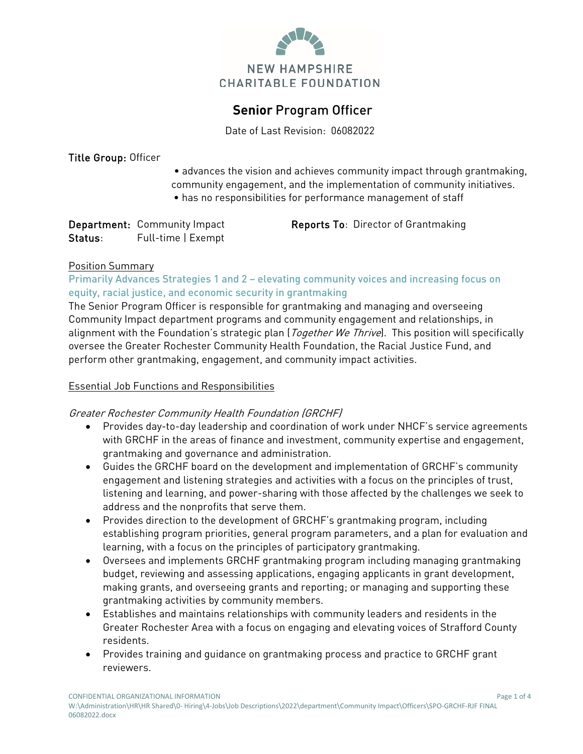

# **Senior** Program Officer

Date of Last Revision: 06082022

#### Title Group: Officer

- advances the vision and achieves community impact through grantmaking, community engagement, and the implementation of community initiatives.
- has no responsibilities for performance management of staff

|         | Department: Community Impact |
|---------|------------------------------|
| Status: | Full-time   Exempt           |

t **Reports To**: Director of Grantmaking

### Position Summary

### Primarily Advances Strategies 1 and 2 – elevating community voices and increasing focus on equity, racial justice, and economic security in grantmaking

The Senior Program Officer is responsible for grantmaking and managing and overseeing Community Impact department programs and community engagement and relationships, in alignment with the Foundation's strategic plan (*Together We Thrive*). This position will specifically oversee the Greater Rochester Community Health Foundation, the Racial Justice Fund, and perform other grantmaking, engagement, and community impact activities.

### Essential Job Functions and Responsibilities

### Greater Rochester Community Health Foundation (GRCHF)

- Provides day-to-day leadership and coordination of work under NHCF's service agreements with GRCHF in the areas of finance and investment, community expertise and engagement, grantmaking and governance and administration.
- Guides the GRCHF board on the development and implementation of GRCHF's community engagement and listening strategies and activities with a focus on the principles of trust, listening and learning, and power-sharing with those affected by the challenges we seek to address and the nonprofits that serve them.
- Provides direction to the development of GRCHF's grantmaking program, including establishing program priorities, general program parameters, and a plan for evaluation and learning, with a focus on the principles of participatory grantmaking.
- Oversees and implements GRCHF grantmaking program including managing grantmaking budget, reviewing and assessing applications, engaging applicants in grant development, making grants, and overseeing grants and reporting; or managing and supporting these grantmaking activities by community members.
- Establishes and maintains relationships with community leaders and residents in the Greater Rochester Area with a focus on engaging and elevating voices of Strafford County residents.
- Provides training and guidance on grantmaking process and practice to GRCHF grant reviewers.

CONFIDENTIAL ORGANIZATIONAL INFORMATION Page 1 of 4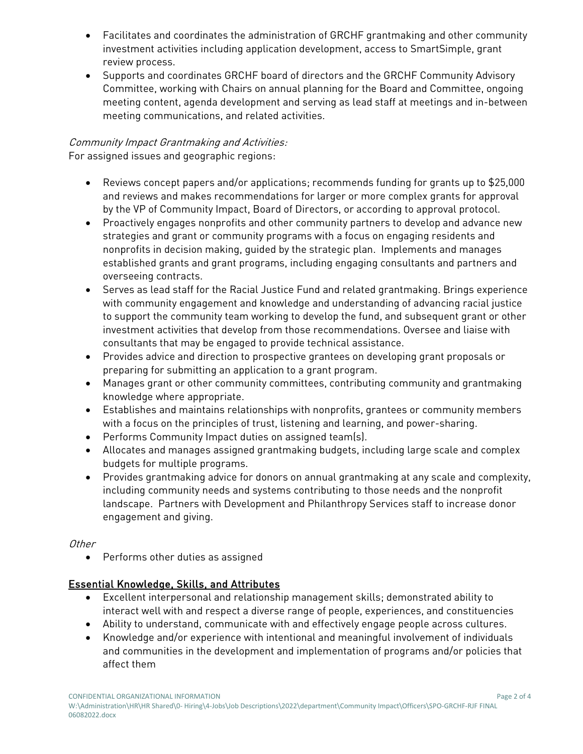- Facilitates and coordinates the administration of GRCHF grantmaking and other community investment activities including application development, access to SmartSimple, grant review process.
- Supports and coordinates GRCHF board of directors and the GRCHF Community Advisory Committee, working with Chairs on annual planning for the Board and Committee, ongoing meeting content, agenda development and serving as lead staff at meetings and in-between meeting communications, and related activities.

# Community Impact Grantmaking and Activities:

For assigned issues and geographic regions:

- Reviews concept papers and/or applications; recommends funding for grants up to \$25,000 and reviews and makes recommendations for larger or more complex grants for approval by the VP of Community Impact, Board of Directors, or according to approval protocol.
- Proactively engages nonprofits and other community partners to develop and advance new strategies and grant or community programs with a focus on engaging residents and nonprofits in decision making, guided by the strategic plan. Implements and manages established grants and grant programs, including engaging consultants and partners and overseeing contracts.
- Serves as lead staff for the Racial Justice Fund and related grantmaking. Brings experience with community engagement and knowledge and understanding of advancing racial justice to support the community team working to develop the fund, and subsequent grant or other investment activities that develop from those recommendations. Oversee and liaise with consultants that may be engaged to provide technical assistance.
- Provides advice and direction to prospective grantees on developing grant proposals or preparing for submitting an application to a grant program.
- Manages grant or other community committees, contributing community and grantmaking knowledge where appropriate.
- Establishes and maintains relationships with nonprofits, grantees or community members with a focus on the principles of trust, listening and learning, and power-sharing.
- Performs Community Impact duties on assigned team(s).
- Allocates and manages assigned grantmaking budgets, including large scale and complex budgets for multiple programs.
- Provides grantmaking advice for donors on annual grantmaking at any scale and complexity, including community needs and systems contributing to those needs and the nonprofit landscape. Partners with Development and Philanthropy Services staff to increase donor engagement and giving.

# **Other**

• Performs other duties as assigned

# Essential Knowledge, Skills, and Attributes

- Excellent interpersonal and relationship management skills; demonstrated ability to interact well with and respect a diverse range of people, experiences, and constituencies
- Ability to understand, communicate with and effectively engage people across cultures.
- Knowledge and/or experience with intentional and meaningful involvement of individuals and communities in the development and implementation of programs and/or policies that affect them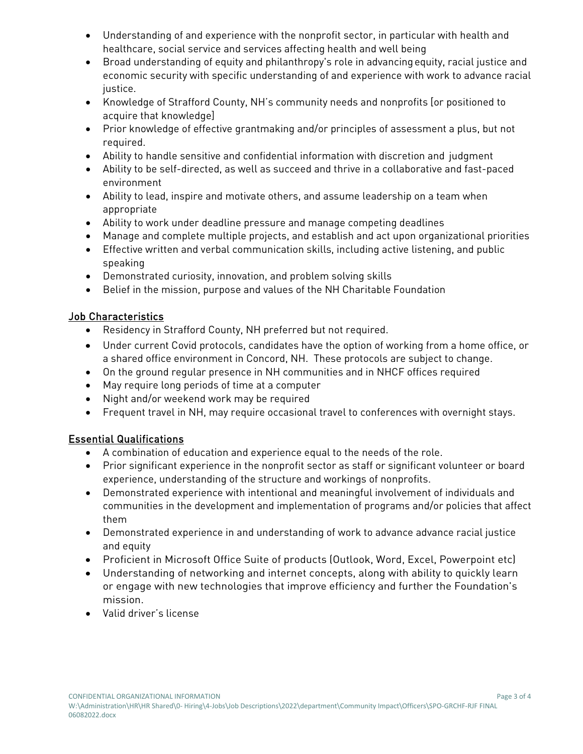- Understanding of and experience with the nonprofit sector, in particular with health and healthcare, social service and services affecting health and well being
- Broad understanding of equity and philanthropy's role in advancingequity, racial justice and economic security with specific understanding of and experience with work to advance racial justice.
- Knowledge of Strafford County, NH's community needs and nonprofits [or positioned to acquire that knowledge]
- Prior knowledge of effective grantmaking and/or principles of assessment a plus, but not required.
- Ability to handle sensitive and confidential information with discretion and judgment
- Ability to be self-directed, as well as succeed and thrive in a collaborative and fast-paced environment
- Ability to lead, inspire and motivate others, and assume leadership on a team when appropriate
- Ability to work under deadline pressure and manage competing deadlines
- Manage and complete multiple projects, and establish and act upon organizational priorities
- Effective written and verbal communication skills, including active listening, and public speaking
- Demonstrated curiosity, innovation, and problem solving skills
- Belief in the mission, purpose and values of the NH Charitable Foundation

## Job Characteristics

- Residency in Strafford County, NH preferred but not required.
- Under current Covid protocols, candidates have the option of working from a home office, or a shared office environment in Concord, NH. These protocols are subject to change.
- On the ground regular presence in NH communities and in NHCF offices required
- May require long periods of time at a computer
- Night and/or weekend work may be required
- Frequent travel in NH, may require occasional travel to conferences with overnight stays.

# Essential Qualifications

- A combination of education and experience equal to the needs of the role.
- Prior significant experience in the nonprofit sector as staff or significant volunteer or board experience, understanding of the structure and workings of nonprofits.
- Demonstrated experience with intentional and meaningful involvement of individuals and communities in the development and implementation of programs and/or policies that affect them
- Demonstrated experience in and understanding of work to advance advance racial justice and equity
- Proficient in Microsoft Office Suite of products (Outlook, Word, Excel, Powerpoint etc)
- Understanding of networking and internet concepts, along with ability to quickly learn or engage with new technologies that improve efficiency and further the Foundation's mission.
- Valid driver's license